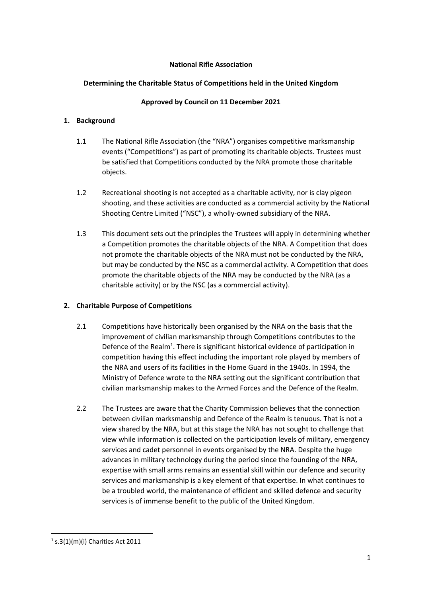### **National Rifle Association**

# **Determining the Charitable Status of Competitions held in the United Kingdom**

### **Approved by Council on 11 December 2021**

### **1. Background**

- 1.1 The National Rifle Association (the "NRA") organises competitive marksmanship events ("Competitions") as part of promoting its charitable objects. Trustees must be satisfied that Competitions conducted by the NRA promote those charitable objects.
- 1.2 Recreational shooting is not accepted as a charitable activity, nor is clay pigeon shooting, and these activities are conducted as a commercial activity by the National Shooting Centre Limited ("NSC"), a wholly‐owned subsidiary of the NRA.
- 1.3 This document sets out the principles the Trustees will apply in determining whether a Competition promotes the charitable objects of the NRA. A Competition that does not promote the charitable objects of the NRA must not be conducted by the NRA, but may be conducted by the NSC as a commercial activity. A Competition that does promote the charitable objects of the NRA may be conducted by the NRA (as a charitable activity) or by the NSC (as a commercial activity).

# **2. Charitable Purpose of Competitions**

- 2.1 Competitions have historically been organised by the NRA on the basis that the improvement of civilian marksmanship through Competitions contributes to the Defence of the Realm<sup>1</sup>. There is significant historical evidence of participation in competition having this effect including the important role played by members of the NRA and users of its facilities in the Home Guard in the 1940s. In 1994, the Ministry of Defence wrote to the NRA setting out the significant contribution that civilian marksmanship makes to the Armed Forces and the Defence of the Realm.
- 2.2 The Trustees are aware that the Charity Commission believes that the connection between civilian marksmanship and Defence of the Realm is tenuous. That is not a view shared by the NRA, but at this stage the NRA has not sought to challenge that view while information is collected on the participation levels of military, emergency services and cadet personnel in events organised by the NRA. Despite the huge advances in military technology during the period since the founding of the NRA, expertise with small arms remains an essential skill within our defence and security services and marksmanship is a key element of that expertise. In what continues to be a troubled world, the maintenance of efficient and skilled defence and security services is of immense benefit to the public of the United Kingdom.

 $1$  s.3(1)(m)(i) Charities Act 2011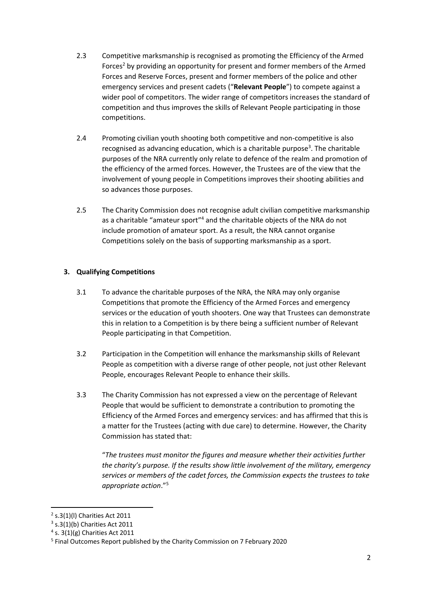- 2.3 Competitive marksmanship is recognised as promoting the Efficiency of the Armed Forces<sup>2</sup> by providing an opportunity for present and former members of the Armed Forces and Reserve Forces, present and former members of the police and other emergency services and present cadets ("**Relevant People**") to compete against a wider pool of competitors. The wider range of competitors increases the standard of competition and thus improves the skills of Relevant People participating in those competitions.
- 2.4 Promoting civilian youth shooting both competitive and non-competitive is also recognised as advancing education, which is a charitable purpose<sup>3</sup>. The charitable purposes of the NRA currently only relate to defence of the realm and promotion of the efficiency of the armed forces. However, the Trustees are of the view that the involvement of young people in Competitions improves their shooting abilities and so advances those purposes.
- 2.5 The Charity Commission does not recognise adult civilian competitive marksmanship as a charitable "amateur sport"4 and the charitable objects of the NRA do not include promotion of amateur sport. As a result, the NRA cannot organise Competitions solely on the basis of supporting marksmanship as a sport.

# **3. Qualifying Competitions**

- 3.1 To advance the charitable purposes of the NRA, the NRA may only organise Competitions that promote the Efficiency of the Armed Forces and emergency services or the education of youth shooters. One way that Trustees can demonstrate this in relation to a Competition is by there being a sufficient number of Relevant People participating in that Competition.
- 3.2 Participation in the Competition will enhance the marksmanship skills of Relevant People as competition with a diverse range of other people, not just other Relevant People, encourages Relevant People to enhance their skills.
- 3.3 The Charity Commission has not expressed a view on the percentage of Relevant People that would be sufficient to demonstrate a contribution to promoting the Efficiency of the Armed Forces and emergency services: and has affirmed that this is a matter for the Trustees (acting with due care) to determine. However, the Charity Commission has stated that:

"*The trustees must monitor the figures and measure whether their activities further the charity's purpose. If the results show little involvement of the military, emergency services or members of the cadet forces, the Commission expects the trustees to take appropriate action*."5

 $2$  s.3(1)(l) Charities Act 2011

<sup>3</sup> s.3(1)(b) Charities Act 2011

<sup>4</sup> s. 3(1)(g) Charities Act 2011

<sup>5</sup> Final Outcomes Report published by the Charity Commission on 7 February 2020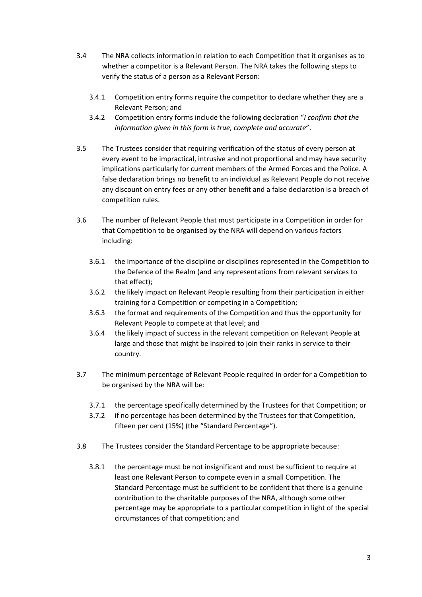- 3.4 The NRA collects information in relation to each Competition that it organises as to whether a competitor is a Relevant Person. The NRA takes the following steps to verify the status of a person as a Relevant Person:
	- 3.4.1 Competition entry forms require the competitor to declare whether they are a Relevant Person; and
	- 3.4.2 Competition entry forms include the following declaration "*I confirm that the information given in this form is true, complete and accurate*".
- 3.5 The Trustees consider that requiring verification of the status of every person at every event to be impractical, intrusive and not proportional and may have security implications particularly for current members of the Armed Forces and the Police. A false declaration brings no benefit to an individual as Relevant People do not receive any discount on entry fees or any other benefit and a false declaration is a breach of competition rules.
- 3.6 The number of Relevant People that must participate in a Competition in order for that Competition to be organised by the NRA will depend on various factors including:
	- 3.6.1 the importance of the discipline or disciplines represented in the Competition to the Defence of the Realm (and any representations from relevant services to that effect);
	- 3.6.2 the likely impact on Relevant People resulting from their participation in either training for a Competition or competing in a Competition;
	- 3.6.3 the format and requirements of the Competition and thus the opportunity for Relevant People to compete at that level; and
	- 3.6.4 the likely impact of success in the relevant competition on Relevant People at large and those that might be inspired to join their ranks in service to their country.
- 3.7 The minimum percentage of Relevant People required in order for a Competition to be organised by the NRA will be:
	- 3.7.1 the percentage specifically determined by the Trustees for that Competition; or
	- 3.7.2 if no percentage has been determined by the Trustees for that Competition, fifteen per cent (15%) (the "Standard Percentage").
- 3.8 The Trustees consider the Standard Percentage to be appropriate because:
	- 3.8.1 the percentage must be not insignificant and must be sufficient to require at least one Relevant Person to compete even in a small Competition. The Standard Percentage must be sufficient to be confident that there is a genuine contribution to the charitable purposes of the NRA, although some other percentage may be appropriate to a particular competition in light of the special circumstances of that competition; and